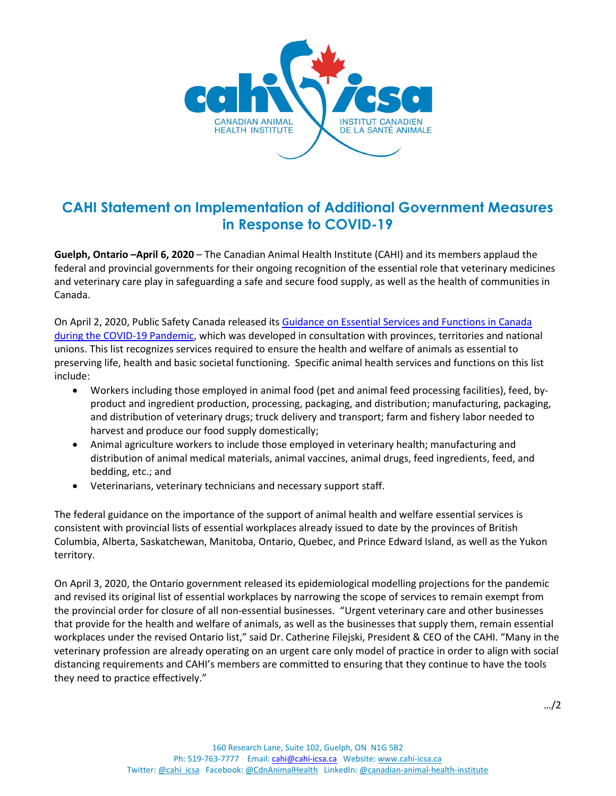

## **CAHI Statement on Implementation of Additional Government Measures in Response to COVID-19**

**Guelph, Ontario –April 6, 2020** – The Canadian Animal Health Institute (CAHI) and its members applaud the federal and provincial governments for their ongoing recognition of the essential role that veterinary medicines and veterinary care play in safeguarding a safe and secure food supply, as well as the health of communities in Canada.

On April 2, 2020, Public Safety Canada released its [Guidance on Essential Services and Functions in Canada](https://www.publicsafety.gc.ca/cnt/ntnl-scrt/crtcl-nfrstrctr/esf-sfe-en.aspx)  [during the COVID-19 Pandemic,](https://www.publicsafety.gc.ca/cnt/ntnl-scrt/crtcl-nfrstrctr/esf-sfe-en.aspx) which was developed in consultation with provinces, territories and national unions. This list recognizes services required to ensure the health and welfare of animals as essential to preserving life, health and basic societal functioning. Specific animal health services and functions on this list include:

- Workers including those employed in animal food (pet and animal feed processing facilities), feed, byproduct and ingredient production, processing, packaging, and distribution; manufacturing, packaging, and distribution of veterinary drugs; truck delivery and transport; farm and fishery labor needed to harvest and produce our food supply domestically;
- Animal agriculture workers to include those employed in veterinary health; manufacturing and distribution of animal medical materials, animal vaccines, animal drugs, feed ingredients, feed, and bedding, etc.; and
- Veterinarians, veterinary technicians and necessary support staff.

The federal guidance on the importance of the support of animal health and welfare essential services is consistent with provincial lists of essential workplaces already issued to date by the provinces of British Columbia, Alberta, Saskatchewan, Manitoba, Ontario, Quebec, and Prince Edward Island, as well as the Yukon territory.

On April 3, 2020, the Ontario government released its epidemiological modelling projections for the pandemic and revised its original list of essential workplaces by narrowing the scope of services to remain exempt from the provincial order for closure of all non-essential businesses. "Urgent veterinary care and other businesses that provide for the health and welfare of animals, as well as the businesses that supply them, remain essential workplaces under the revised Ontario list," said Dr. Catherine Filejski, President & CEO of the CAHI. "Many in the veterinary profession are already operating on an urgent care only model of practice in order to align with social distancing requirements and CAHI's members are committed to ensuring that they continue to have the tools they need to practice effectively."